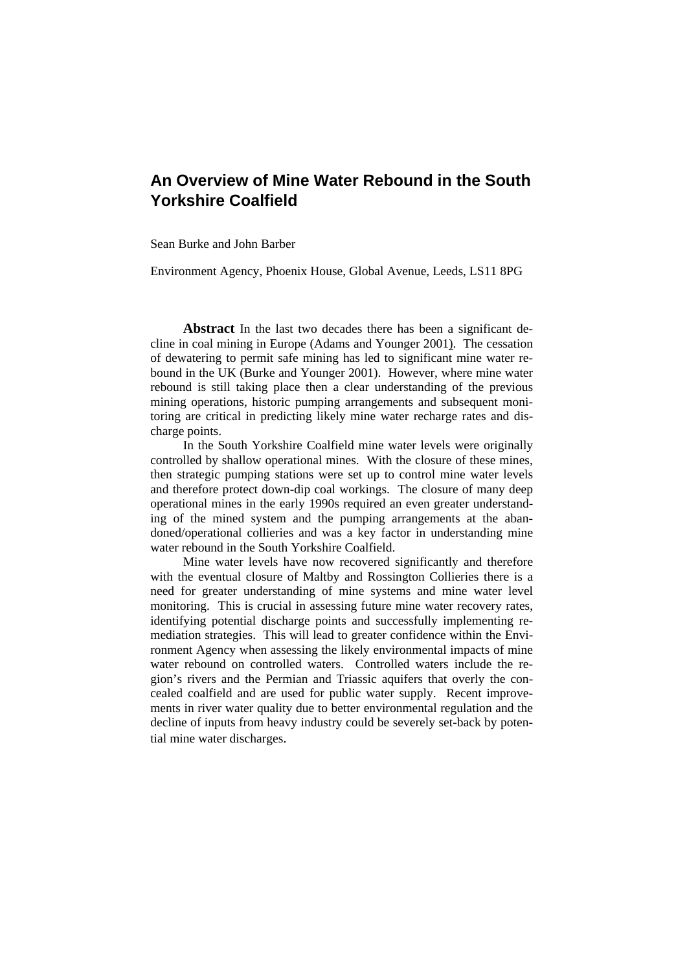# **An Overview of Mine Water Rebound in the South Yorkshire Coalfield**

Sean Burke and John Barber

Environment Agency, Phoenix House, Global Avenue, Leeds, LS11 8PG

**Abstract** In the last two decades there has been a significant decline in coal mining in Europe (Adams and Younger 2001). The cessation of dewatering to permit safe mining has led to significant mine water rebound in the UK (Burke and Younger 2001). However, where mine water rebound is still taking place then a clear understanding of the previous mining operations, historic pumping arrangements and subsequent monitoring are critical in predicting likely mine water recharge rates and discharge points.

In the South Yorkshire Coalfield mine water levels were originally controlled by shallow operational mines. With the closure of these mines, then strategic pumping stations were set up to control mine water levels and therefore protect down-dip coal workings. The closure of many deep operational mines in the early 1990s required an even greater understanding of the mined system and the pumping arrangements at the abandoned/operational collieries and was a key factor in understanding mine water rebound in the South Yorkshire Coalfield.

Mine water levels have now recovered significantly and therefore with the eventual closure of Maltby and Rossington Collieries there is a need for greater understanding of mine systems and mine water level monitoring. This is crucial in assessing future mine water recovery rates, identifying potential discharge points and successfully implementing remediation strategies. This will lead to greater confidence within the Environment Agency when assessing the likely environmental impacts of mine water rebound on controlled waters. Controlled waters include the region's rivers and the Permian and Triassic aquifers that overly the concealed coalfield and are used for public water supply. Recent improvements in river water quality due to better environmental regulation and the decline of inputs from heavy industry could be severely set-back by potential mine water discharges.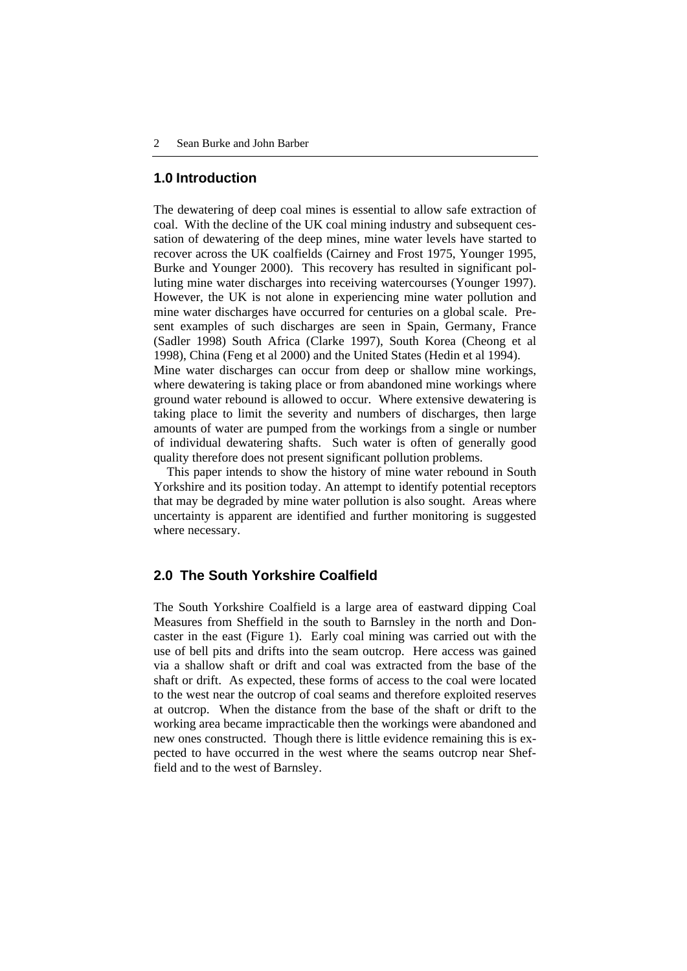#### **1.0 Introduction**

The dewatering of deep coal mines is essential to allow safe extraction of coal. With the decline of the UK coal mining industry and subsequent cessation of dewatering of the deep mines, mine water levels have started to recover across the UK coalfields (Cairney and Frost 1975, Younger 1995, Burke and Younger 2000). This recovery has resulted in significant polluting mine water discharges into receiving watercourses (Younger 1997). However, the UK is not alone in experiencing mine water pollution and mine water discharges have occurred for centuries on a global scale. Present examples of such discharges are seen in Spain, Germany, France (Sadler 1998) South Africa (Clarke 1997), South Korea (Cheong et al 1998), China (Feng et al 2000) and the United States (Hedin et al 1994). Mine water discharges can occur from deep or shallow mine workings,

where dewatering is taking place or from abandoned mine workings where ground water rebound is allowed to occur. Where extensive dewatering is taking place to limit the severity and numbers of discharges, then large amounts of water are pumped from the workings from a single or number of individual dewatering shafts. Such water is often of generally good quality therefore does not present significant pollution problems.

This paper intends to show the history of mine water rebound in South Yorkshire and its position today. An attempt to identify potential receptors that may be degraded by mine water pollution is also sought. Areas where uncertainty is apparent are identified and further monitoring is suggested where necessary.

# **2.0 The South Yorkshire Coalfield**

The South Yorkshire Coalfield is a large area of eastward dipping Coal Measures from Sheffield in the south to Barnsley in the north and Doncaster in the east (Figure 1). Early coal mining was carried out with the use of bell pits and drifts into the seam outcrop. Here access was gained via a shallow shaft or drift and coal was extracted from the base of the shaft or drift. As expected, these forms of access to the coal were located to the west near the outcrop of coal seams and therefore exploited reserves at outcrop. When the distance from the base of the shaft or drift to the working area became impracticable then the workings were abandoned and new ones constructed. Though there is little evidence remaining this is expected to have occurred in the west where the seams outcrop near Sheffield and to the west of Barnsley.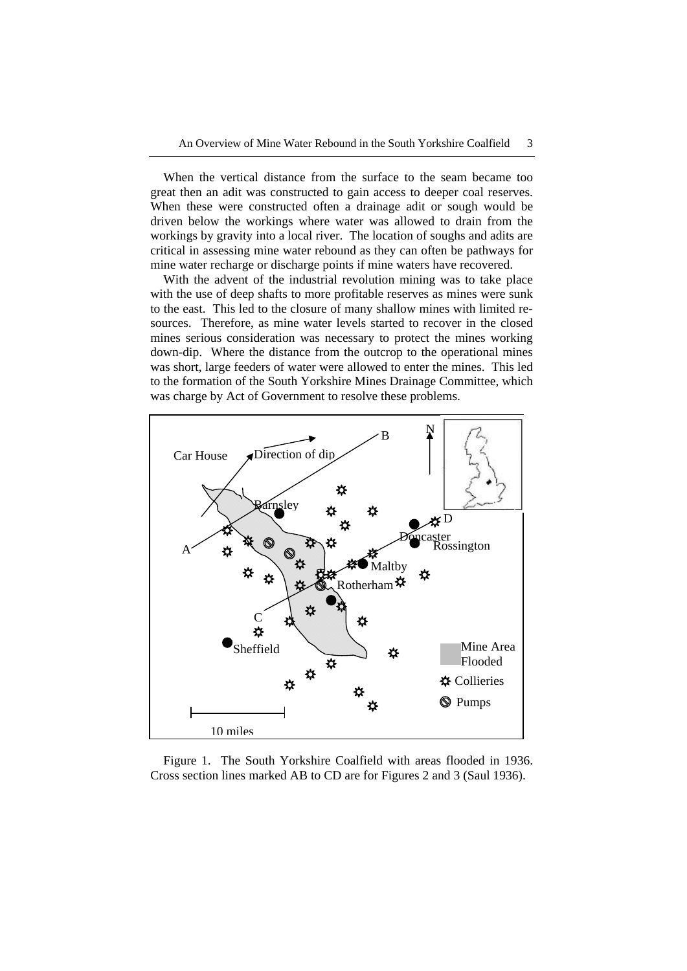When the vertical distance from the surface to the seam became too great then an adit was constructed to gain access to deeper coal reserves. When these were constructed often a drainage adit or sough would be driven below the workings where water was allowed to drain from the workings by gravity into a local river. The location of soughs and adits are critical in assessing mine water rebound as they can often be pathways for mine water recharge or discharge points if mine waters have recovered.

With the advent of the industrial revolution mining was to take place with the use of deep shafts to more profitable reserves as mines were sunk to the east. This led to the closure of many shallow mines with limited resources. Therefore, as mine water levels started to recover in the closed mines serious consideration was necessary to protect the mines working down-dip. Where the distance from the outcrop to the operational mines was short, large feeders of water were allowed to enter the mines. This led to the formation of the South Yorkshire Mines Drainage Committee, which was charge by Act of Government to resolve these problems.



Figure 1. The South Yorkshire Coalfield with areas flooded in 1936. Cross section lines marked AB to CD are for Figures 2 and 3 (Saul 1936).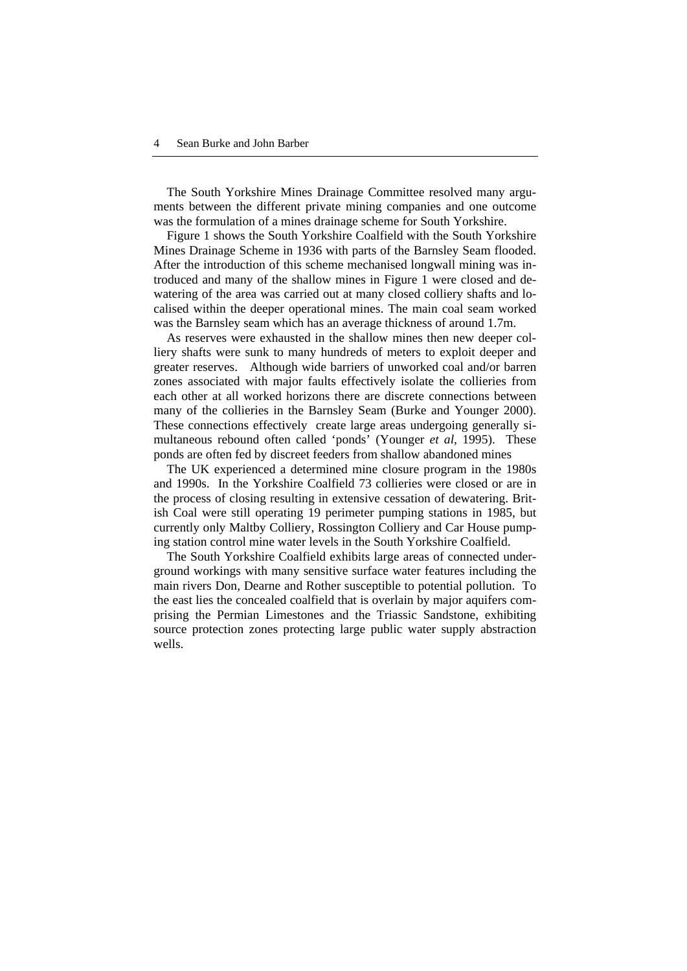The South Yorkshire Mines Drainage Committee resolved many arguments between the different private mining companies and one outcome was the formulation of a mines drainage scheme for South Yorkshire.

Figure 1 shows the South Yorkshire Coalfield with the South Yorkshire Mines Drainage Scheme in 1936 with parts of the Barnsley Seam flooded. After the introduction of this scheme mechanised longwall mining was introduced and many of the shallow mines in Figure 1 were closed and dewatering of the area was carried out at many closed colliery shafts and localised within the deeper operational mines. The main coal seam worked was the Barnsley seam which has an average thickness of around 1.7m.

As reserves were exhausted in the shallow mines then new deeper colliery shafts were sunk to many hundreds of meters to exploit deeper and greater reserves. Although wide barriers of unworked coal and/or barren zones associated with major faults effectively isolate the collieries from each other at all worked horizons there are discrete connections between many of the collieries in the Barnsley Seam (Burke and Younger 2000). These connections effectively create large areas undergoing generally simultaneous rebound often called 'ponds' (Younger *et al*, 1995). These ponds are often fed by discreet feeders from shallow abandoned mines

The UK experienced a determined mine closure program in the 1980s and 1990s. In the Yorkshire Coalfield 73 collieries were closed or are in the process of closing resulting in extensive cessation of dewatering. British Coal were still operating 19 perimeter pumping stations in 1985, but currently only Maltby Colliery, Rossington Colliery and Car House pumping station control mine water levels in the South Yorkshire Coalfield.

The South Yorkshire Coalfield exhibits large areas of connected underground workings with many sensitive surface water features including the main rivers Don, Dearne and Rother susceptible to potential pollution. To the east lies the concealed coalfield that is overlain by major aquifers comprising the Permian Limestones and the Triassic Sandstone, exhibiting source protection zones protecting large public water supply abstraction wells.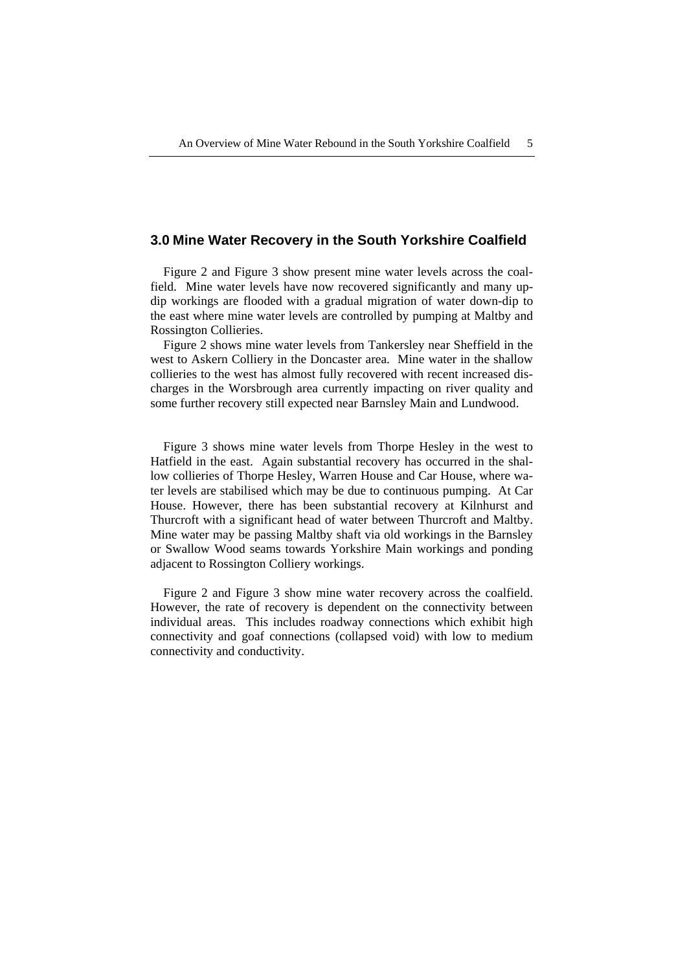#### **3.0 Mine Water Recovery in the South Yorkshire Coalfield**

Figure 2 and Figure 3 show present mine water levels across the coalfield. Mine water levels have now recovered significantly and many updip workings are flooded with a gradual migration of water down-dip to the east where mine water levels are controlled by pumping at Maltby and Rossington Collieries.

Figure 2 shows mine water levels from Tankersley near Sheffield in the west to Askern Colliery in the Doncaster area. Mine water in the shallow collieries to the west has almost fully recovered with recent increased discharges in the Worsbrough area currently impacting on river quality and some further recovery still expected near Barnsley Main and Lundwood.

Figure 3 shows mine water levels from Thorpe Hesley in the west to Hatfield in the east. Again substantial recovery has occurred in the shallow collieries of Thorpe Hesley, Warren House and Car House, where water levels are stabilised which may be due to continuous pumping. At Car House. However, there has been substantial recovery at Kilnhurst and Thurcroft with a significant head of water between Thurcroft and Maltby. Mine water may be passing Maltby shaft via old workings in the Barnsley or Swallow Wood seams towards Yorkshire Main workings and ponding adjacent to Rossington Colliery workings.

Figure 2 and Figure 3 show mine water recovery across the coalfield. However, the rate of recovery is dependent on the connectivity between individual areas. This includes roadway connections which exhibit high connectivity and goaf connections (collapsed void) with low to medium connectivity and conductivity.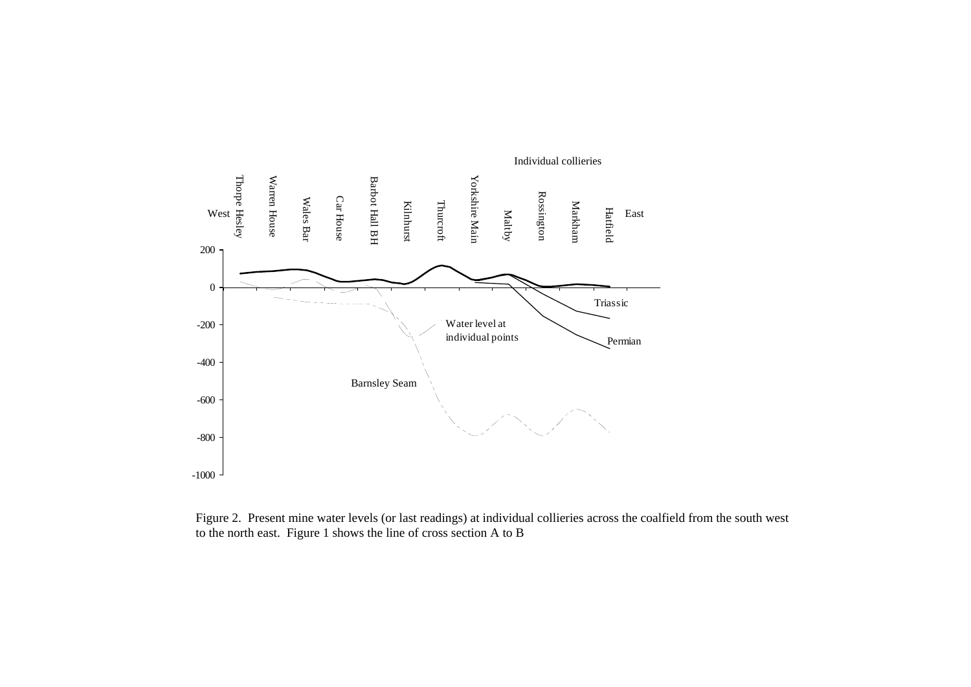

Figure 2. Present mine water levels (or last readings) at individual collieries across the coalfield from the south west to the north east. Figure 1 shows the line of cross section A to B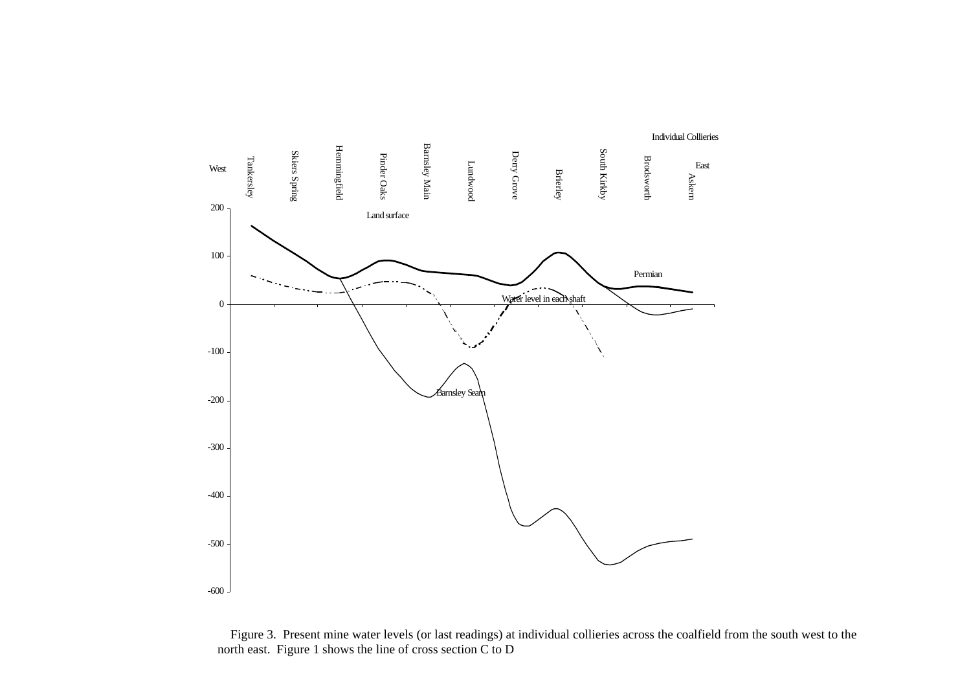

Figure 3. Present mine water levels (or last readings) at individual collieries across the coalfield from the south west to the north east. Figure 1 shows the line of cross section C to D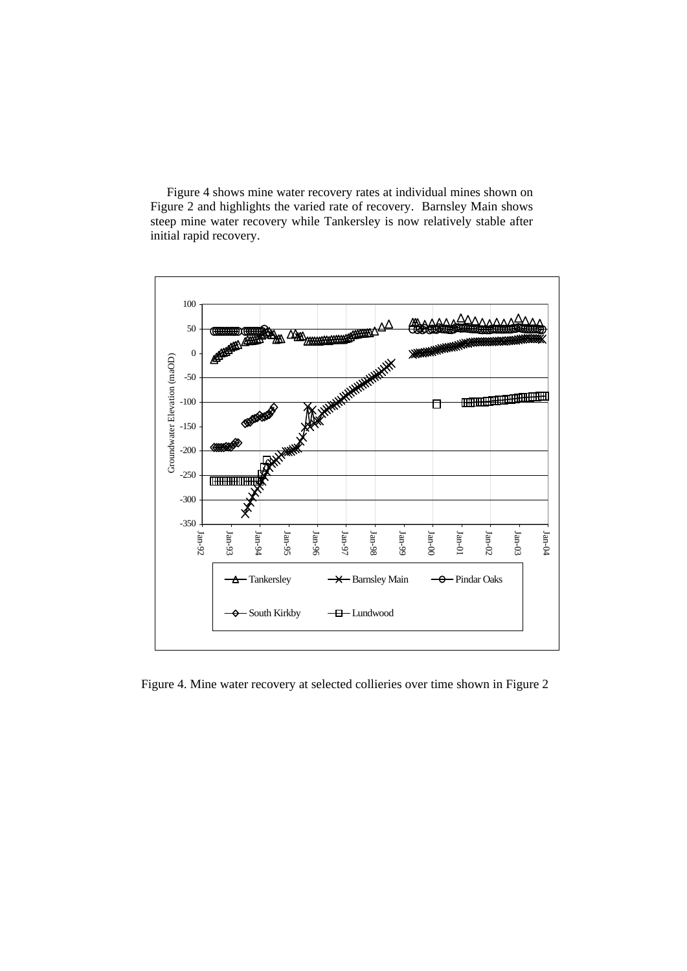Figure 4 shows mine water recovery rates at individual mines shown on Figure 2 and highlights the varied rate of recovery. Barnsley Main shows steep mine water recovery while Tankersley is now relatively stable after initial rapid recovery.



Figure 4. Mine water recovery at selected collieries over time shown in Figure 2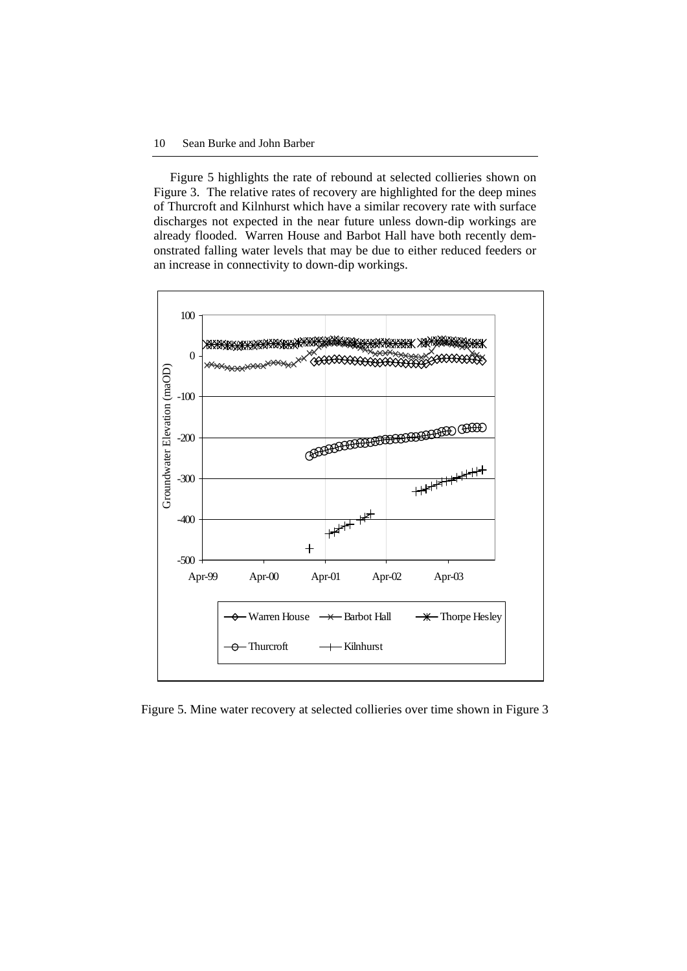Figure 5 highlights the rate of rebound at selected collieries shown on Figure 3. The relative rates of recovery are highlighted for the deep mines of Thurcroft and Kilnhurst which have a similar recovery rate with surface discharges not expected in the near future unless down-dip workings are already flooded. Warren House and Barbot Hall have both recently demonstrated falling water levels that may be due to either reduced feeders or an increase in connectivity to down-dip workings.



Figure 5. Mine water recovery at selected collieries over time shown in Figure 3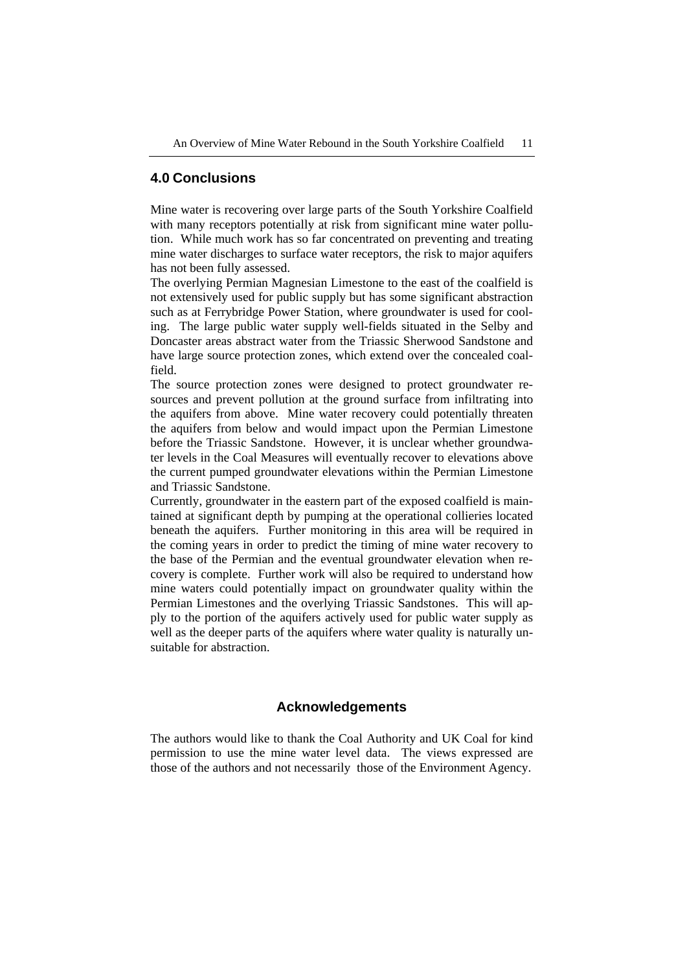### **4.0 Conclusions**

Mine water is recovering over large parts of the South Yorkshire Coalfield with many receptors potentially at risk from significant mine water pollution. While much work has so far concentrated on preventing and treating mine water discharges to surface water receptors, the risk to major aquifers has not been fully assessed.

The overlying Permian Magnesian Limestone to the east of the coalfield is not extensively used for public supply but has some significant abstraction such as at Ferrybridge Power Station, where groundwater is used for cooling. The large public water supply well-fields situated in the Selby and Doncaster areas abstract water from the Triassic Sherwood Sandstone and have large source protection zones, which extend over the concealed coalfield.

The source protection zones were designed to protect groundwater resources and prevent pollution at the ground surface from infiltrating into the aquifers from above. Mine water recovery could potentially threaten the aquifers from below and would impact upon the Permian Limestone before the Triassic Sandstone. However, it is unclear whether groundwater levels in the Coal Measures will eventually recover to elevations above the current pumped groundwater elevations within the Permian Limestone and Triassic Sandstone.

Currently, groundwater in the eastern part of the exposed coalfield is maintained at significant depth by pumping at the operational collieries located beneath the aquifers. Further monitoring in this area will be required in the coming years in order to predict the timing of mine water recovery to the base of the Permian and the eventual groundwater elevation when recovery is complete. Further work will also be required to understand how mine waters could potentially impact on groundwater quality within the Permian Limestones and the overlying Triassic Sandstones. This will apply to the portion of the aquifers actively used for public water supply as well as the deeper parts of the aquifers where water quality is naturally unsuitable for abstraction.

## **Acknowledgements**

The authors would like to thank the Coal Authority and UK Coal for kind permission to use the mine water level data. The views expressed are those of the authors and not necessarily those of the Environment Agency.